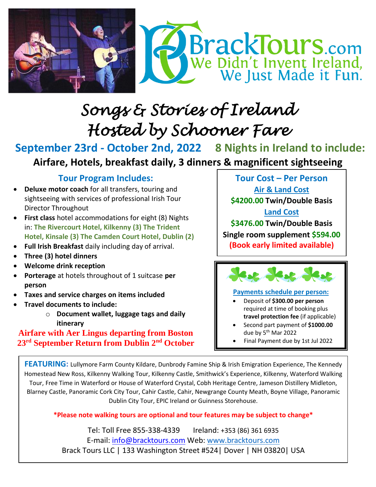

# *Songs & Stories of Ireland Hosted by Schooner Fare*

**September 23rd - October 2nd, 2022 8 Nights in Ireland to include:** **Airfare, Hotels, breakfast daily, 3 dinners & magnificent sightseeing**

## **Tour Program Includes:**

- **Deluxe motor coach** for all transfers, touring and sightseeing with services of professional Irish Tour Director Throughout
- **First class** hotel accommodations for eight (8) Nights in: **The Rivercourt Hotel, Kilkenny (3) The Trident Hotel, Kinsale (3) The Camden Court Hotel, Dublin (2)**
- **Full Irish Breakfast** daily including day of arrival.
- **Three (3) hotel dinners**
- **Welcome drink reception**
- **Porterage** at hotels throughout of 1 suitcase **per person**
- **Taxes and service charges on items included**
- **Travel documents to include:** 
	- o **Document wallet, luggage tags and daily itinerary**

### **Airfare with Aer Lingus departing from Boston 23rd September Return from Dublin 2nd October**

**Tour Cost – Per Person**

**Air & Land Cost**

**\$4200.00 Twin/Double Basis**

**Land Cost**

**\$3476.00 Twin/Double Basis Single room supplement \$594.00 (Book early limited available)**



#### **Payments schedule per person:**

- Deposit of **\$300.00 per person**  required at time of booking plus **travel protection fee** (if applicable)
- Second part payment of **\$1000.00** due by 5<sup>th</sup> Mar 2022
- Final Payment due by 1st Jul 2022

**FEATURING:** Lullymore Farm County Kildare, Dunbrody Famine Ship & Irish Emigration Experience, The Kennedy Homestead New Ross, Kilkenny Walking Tour, Kilkenny Castle, Smithwick's Experience, Kilkenny, Waterford Walking Tour, Free Time in Waterford or House of Waterford Crystal, Cobh Heritage Centre, Jameson Distillery Midleton, Blarney Castle, Panoramic Cork City Tour, Cahir Castle, Cahir, Newgrange County Meath, Boyne Village, Panoramic Dublin City Tour, EPIC Ireland or Guinness Storehouse.

#### **\*Please note walking tours are optional and tour features may be subject to change\***

Tel: Toll Free 855-338-4339 Ireland: +353 (86) 361 6935 E-mail: [info@bracktours.com](mailto:info@bracktours.com) Web: [www.bracktours.com](http://www.bracktours.com/) Brack Tours LLC | 133 Washington Street #524| Dover | NH 03820| USA